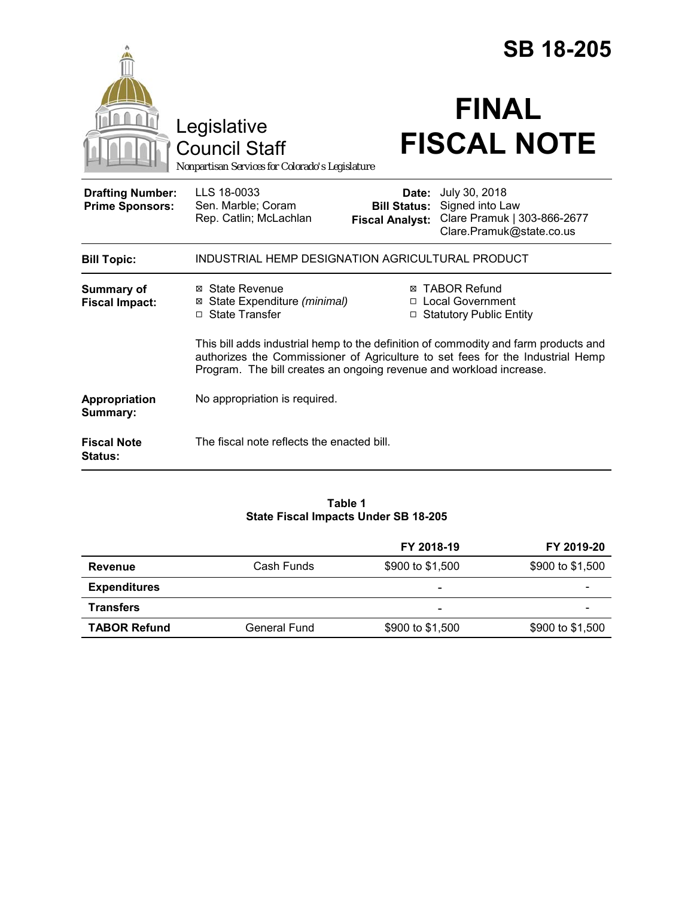|                                                   |                                                                                                                                                                                                                                              | <b>SB 18-205</b>                                       |                                                                                             |  |
|---------------------------------------------------|----------------------------------------------------------------------------------------------------------------------------------------------------------------------------------------------------------------------------------------------|--------------------------------------------------------|---------------------------------------------------------------------------------------------|--|
|                                                   | Legislative<br><b>Council Staff</b><br>Nonpartisan Services for Colorado's Legislature                                                                                                                                                       |                                                        | <b>FINAL</b><br><b>FISCAL NOTE</b>                                                          |  |
| <b>Drafting Number:</b><br><b>Prime Sponsors:</b> | LLS 18-0033<br>Sen. Marble; Coram<br>Rep. Catlin; McLachlan                                                                                                                                                                                  | Date:<br><b>Bill Status:</b><br><b>Fiscal Analyst:</b> | July 30, 2018<br>Signed into Law<br>Clare Pramuk   303-866-2677<br>Clare.Pramuk@state.co.us |  |
| <b>Bill Topic:</b>                                | INDUSTRIAL HEMP DESIGNATION AGRICULTURAL PRODUCT                                                                                                                                                                                             |                                                        |                                                                                             |  |
| Summary of<br><b>Fiscal Impact:</b>               | ⊠ State Revenue<br>State Expenditure (minimal)<br>⊠<br>□ State Transfer                                                                                                                                                                      |                                                        | ⊠ TABOR Refund<br>□ Local Government<br>□ Statutory Public Entity                           |  |
|                                                   | This bill adds industrial hemp to the definition of commodity and farm products and<br>authorizes the Commissioner of Agriculture to set fees for the Industrial Hemp<br>Program. The bill creates an ongoing revenue and workload increase. |                                                        |                                                                                             |  |
| Appropriation<br>Summary:                         | No appropriation is required.                                                                                                                                                                                                                |                                                        |                                                                                             |  |
| <b>Fiscal Note</b><br>Status:                     | The fiscal note reflects the enacted bill.                                                                                                                                                                                                   |                                                        |                                                                                             |  |

## **Table 1 State Fiscal Impacts Under SB 18-205**

|                     |              | FY 2018-19               | FY 2019-20               |
|---------------------|--------------|--------------------------|--------------------------|
| Revenue             | Cash Funds   | \$900 to \$1,500         | \$900 to \$1,500         |
| <b>Expenditures</b> |              | $\overline{\phantom{0}}$ | $\overline{\phantom{0}}$ |
| <b>Transfers</b>    |              | $\overline{\phantom{0}}$ |                          |
| <b>TABOR Refund</b> | General Fund | \$900 to \$1,500         | \$900 to \$1,500         |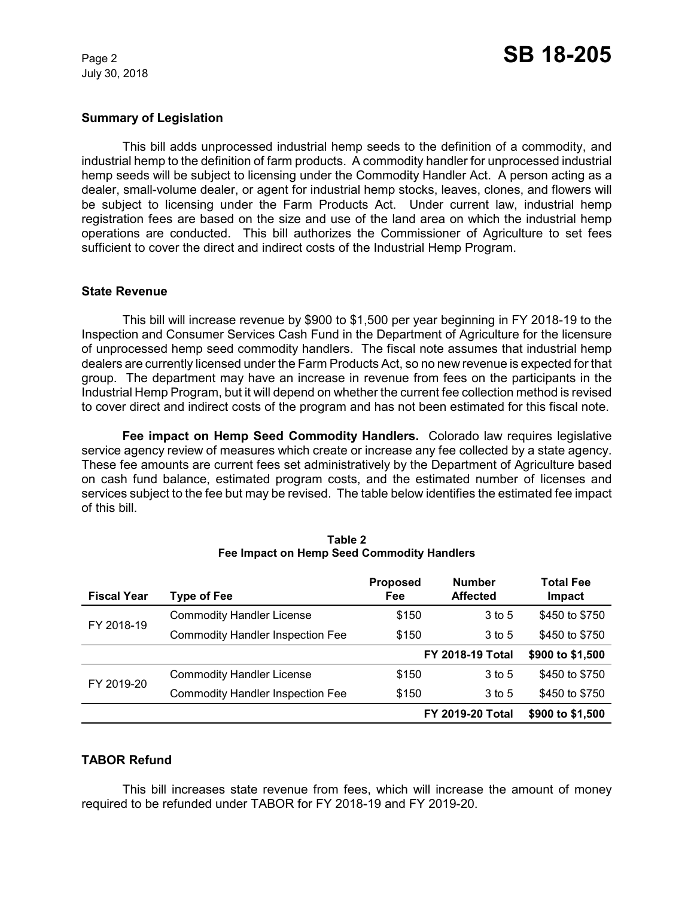July 30, 2018

### **Summary of Legislation**

This bill adds unprocessed industrial hemp seeds to the definition of a commodity, and industrial hemp to the definition of farm products. A commodity handler for unprocessed industrial hemp seeds will be subject to licensing under the Commodity Handler Act. A person acting as a dealer, small-volume dealer, or agent for industrial hemp stocks, leaves, clones, and flowers will be subject to licensing under the Farm Products Act. Under current law, industrial hemp registration fees are based on the size and use of the land area on which the industrial hemp operations are conducted. This bill authorizes the Commissioner of Agriculture to set fees sufficient to cover the direct and indirect costs of the Industrial Hemp Program.

### **State Revenue**

This bill will increase revenue by \$900 to \$1,500 per year beginning in FY 2018-19 to the Inspection and Consumer Services Cash Fund in the Department of Agriculture for the licensure of unprocessed hemp seed commodity handlers. The fiscal note assumes that industrial hemp dealers are currently licensed under the Farm Products Act, so no new revenue is expected for that group. The department may have an increase in revenue from fees on the participants in the Industrial Hemp Program, but it will depend on whether the current fee collection method is revised to cover direct and indirect costs of the program and has not been estimated for this fiscal note.

**Fee impact on Hemp Seed Commodity Handlers.** Colorado law requires legislative service agency review of measures which create or increase any fee collected by a state agency. These fee amounts are current fees set administratively by the Department of Agriculture based on cash fund balance, estimated program costs, and the estimated number of licenses and services subject to the fee but may be revised. The table below identifies the estimated fee impact of this bill.

| <b>Fiscal Year</b> | Type of Fee                             | <b>Proposed</b><br>Fee | <b>Number</b><br><b>Affected</b> | <b>Total Fee</b><br>Impact |
|--------------------|-----------------------------------------|------------------------|----------------------------------|----------------------------|
| FY 2018-19         | <b>Commodity Handler License</b>        | \$150                  | 3 to 5                           | \$450 to \$750             |
|                    | <b>Commodity Handler Inspection Fee</b> | \$150                  | $3$ to 5                         | \$450 to \$750             |
|                    |                                         |                        | <b>FY 2018-19 Total</b>          | \$900 to \$1,500           |
| FY 2019-20         | <b>Commodity Handler License</b>        | \$150                  | $3$ to 5                         | \$450 to \$750             |
|                    | <b>Commodity Handler Inspection Fee</b> | \$150                  | 3 to 5                           | \$450 to \$750             |
|                    |                                         |                        | <b>FY 2019-20 Total</b>          | \$900 to \$1,500           |

| Table 2                                    |  |  |  |  |  |
|--------------------------------------------|--|--|--|--|--|
| Fee Impact on Hemp Seed Commodity Handlers |  |  |  |  |  |

# **TABOR Refund**

This bill increases state revenue from fees, which will increase the amount of money required to be refunded under TABOR for FY 2018-19 and FY 2019-20.